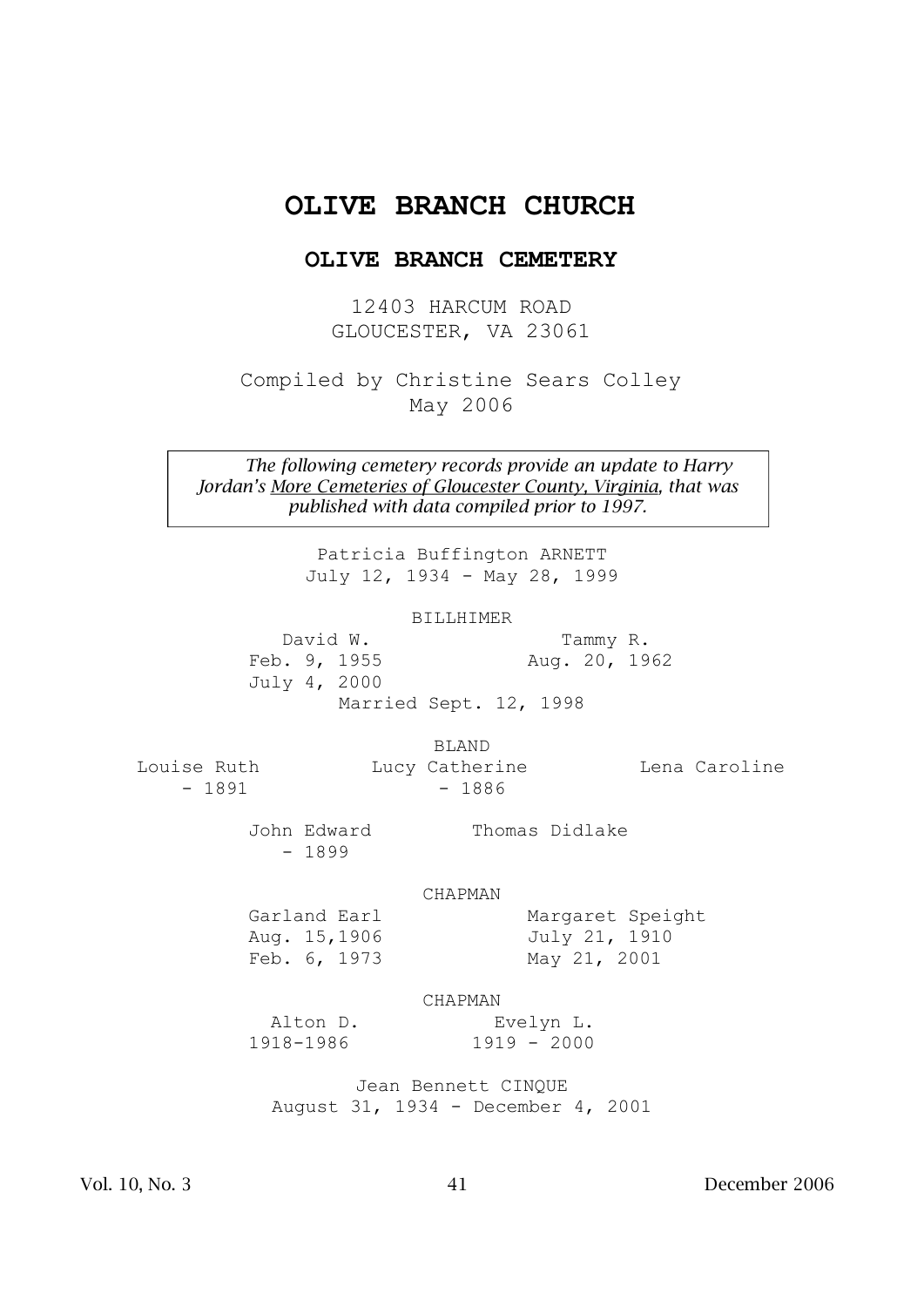# **OLIVE BRANCH CHURCH**

# **OLIVE BRANCH CEMETERY**

12403 HARCUM ROAD GLOUCESTER, VA 23061

Compiled by Christine Sears Colley May 2006

*The following cemetery records provide an update to Harry Jordan's More Cemeteries of Gloucester County, Virginia, that was published with data compiled prior to 1997.*

> Patricia Buffington ARNETT July 12, 1934 - May 28, 1999

> > BILLHIMER

 David W. Tammy R. Feb. 9, 1955 Aug. 20, 1962 July 4, 2000 Married Sept. 12, 1998

BLAND

- 1891 - 1886

Louise Ruth Lucy Catherine Lena Caroline

John Edward Thomas Didlake - 1899

Feb. 6, 1973 May 21, 2001

Garland Earl Margaret Speight Aug. 15,1906 July 21, 1910

CHAPMAN

CHAPMAN

 Alton D. Evelyn L. 1918-1986 1919 - 2000

Jean Bennett CINQUE August 31, 1934 - December 4, 2001

Vol. 10, No. 3 41 December 2006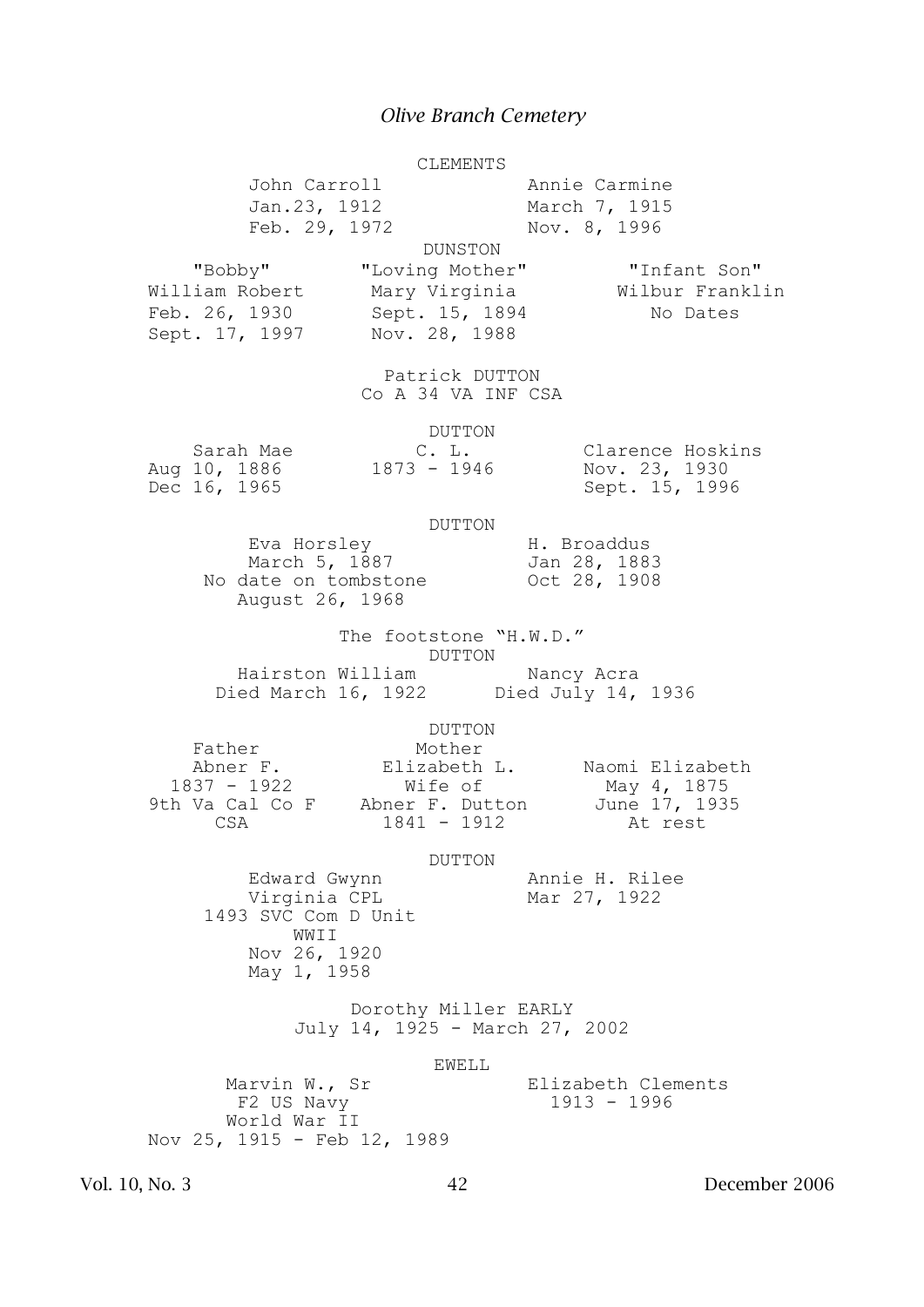|                |                                                                                                  |                                                                                            |                                                                     | CLEMENTS          |                                                |                                                        |               |
|----------------|--------------------------------------------------------------------------------------------------|--------------------------------------------------------------------------------------------|---------------------------------------------------------------------|-------------------|------------------------------------------------|--------------------------------------------------------|---------------|
|                |                                                                                                  | John Carroll<br>Jan.23, 1912<br>Feb. 29, 1972                                              |                                                                     |                   | Annie Carmine<br>March 7, 1915<br>Nov. 8, 1996 |                                                        |               |
|                | "Bobby"<br>William Robert<br>Feb. 26, 1930<br>Sept. 17, 1997                                     |                                                                                            | "Loving Mother"<br>Mary Virginia<br>Sept. 15, 1894<br>Nov. 28, 1988 | DUNSTON           |                                                | "Infant Son"<br>Wilbur Franklin<br>No Dates            |               |
|                |                                                                                                  |                                                                                            | Patrick DUTTON<br>Co A 34 VA INF CSA                                |                   |                                                |                                                        |               |
|                | Sarah Mae<br>Aug 10, 1886<br>Dec 16, 1965                                                        |                                                                                            | 1873 - 1946                                                         | DUTTON<br>C. L.   |                                                | Clarence Hoskins<br>Nov. 23, 1930<br>Sept. 15, 1996    |               |
|                |                                                                                                  | Eva Horsley<br>March 5, 1887<br>No date on tombstone<br>August 26, 1968                    |                                                                     | DUTTON            | H. Broaddus<br>Jan 28, 1883<br>Oct 28, 1908    |                                                        |               |
|                |                                                                                                  | Hairston William Nancy Acra<br>Died March 16, 1922 Died July 14, 1936                      | The footstone "H.W.D."                                              | DUTTON            |                                                |                                                        |               |
|                | Father<br>Abner F.<br>1837 - 1922<br>9th Va Cal Co F Abner F. Dutton June 17, 1935<br><b>CSA</b> |                                                                                            | Mother<br>$1841 - 1912$                                             | DUTTON<br>Wife of |                                                | Elizabeth L. Naomi Elizabeth<br>May 4, 1875<br>At rest |               |
|                |                                                                                                  | Edward Gwynn<br>Virginia CPL<br>1493 SVC Com D Unit<br>WWII<br>Nov 26, 1920<br>May 1, 1958 |                                                                     | DUTTON            | Mar 27, 1922                                   | Annie H. Rilee                                         |               |
|                |                                                                                                  |                                                                                            | Dorothy Miller EARLY<br>July 14, 1925 - March 27, 2002              |                   |                                                |                                                        |               |
|                | Nov 25, 1915 - Feb 12, 1989                                                                      | Marvin W., Sr<br>F2 US Navy<br>World War II                                                |                                                                     | <b>EWELL</b>      |                                                | Elizabeth Clements<br>$1913 - 1996$                    |               |
| Vol. 10, No. 3 |                                                                                                  |                                                                                            |                                                                     | 42                |                                                |                                                        | December 2006 |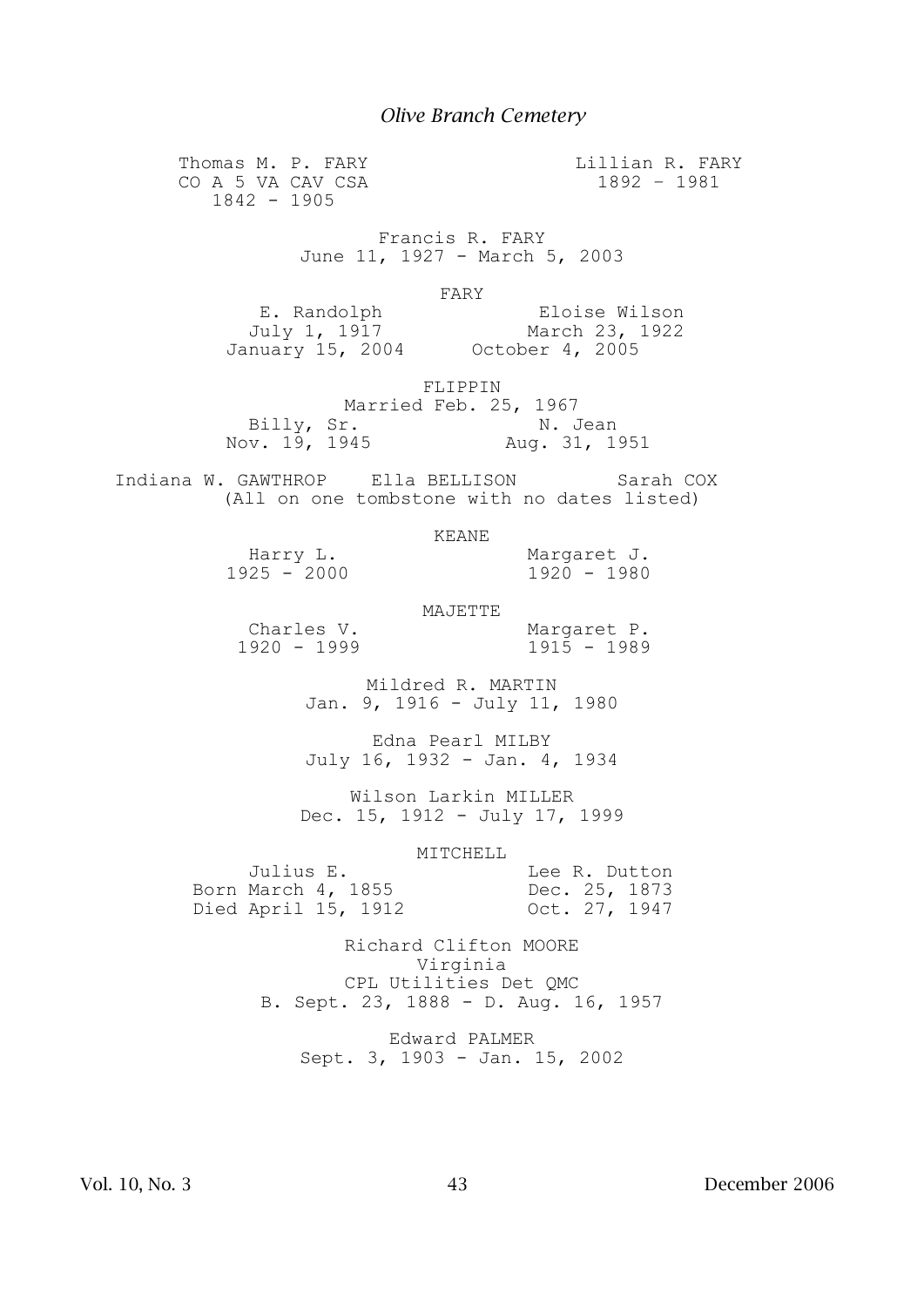Thomas M. P. FARY CO A 5 VA CAV CSA 1842 - 1905

Lillian R. FARY 1892 – 1981

Francis R. FARY June 11, 1927 - March 5, 2003

FARY

 E. Randolph Eloise Wilson July 1, 1917 March 23, 1922 January 15, 2004 October 4, 2005

FLIPPIN

Married Feb. 25, 1967<br>Billy, Sr. N. J Billy, Sr. N. Jean Nov. 19, 1945 Aug. 31, 1951

 Indiana W. GAWTHROP Ella BELLISON Sarah COX (All on one tombstone with no dates listed)

#### KEANE

Harry L. (1925) Margaret J.<br>1925 - 2000 (1920 - 1980)  $1925 - 2000$ 

MAJETTE

Charles V. Margaret P.<br>1920 - 1999 1915 - 1989  $1920 - 1999$ 

Mildred R. MARTIN Jan. 9, 1916 - July 11, 1980

Edna Pearl MILBY July 16, 1932 - Jan. 4, 1934

Wilson Larkin MILLER Dec. 15, 1912 - July 17, 1999

MITCHELL

| Julius E.           |  |  | Lee R. Dutton |
|---------------------|--|--|---------------|
| Born March 4, 1855  |  |  | Dec. 25, 1873 |
| Died April 15, 1912 |  |  | Oct. 27, 1947 |

Richard Clifton MOORE Virginia CPL Utilities Det QMC B. Sept. 23, 1888 - D. Aug. 16, 1957

Edward PALMER Sept. 3, 1903 - Jan. 15, 2002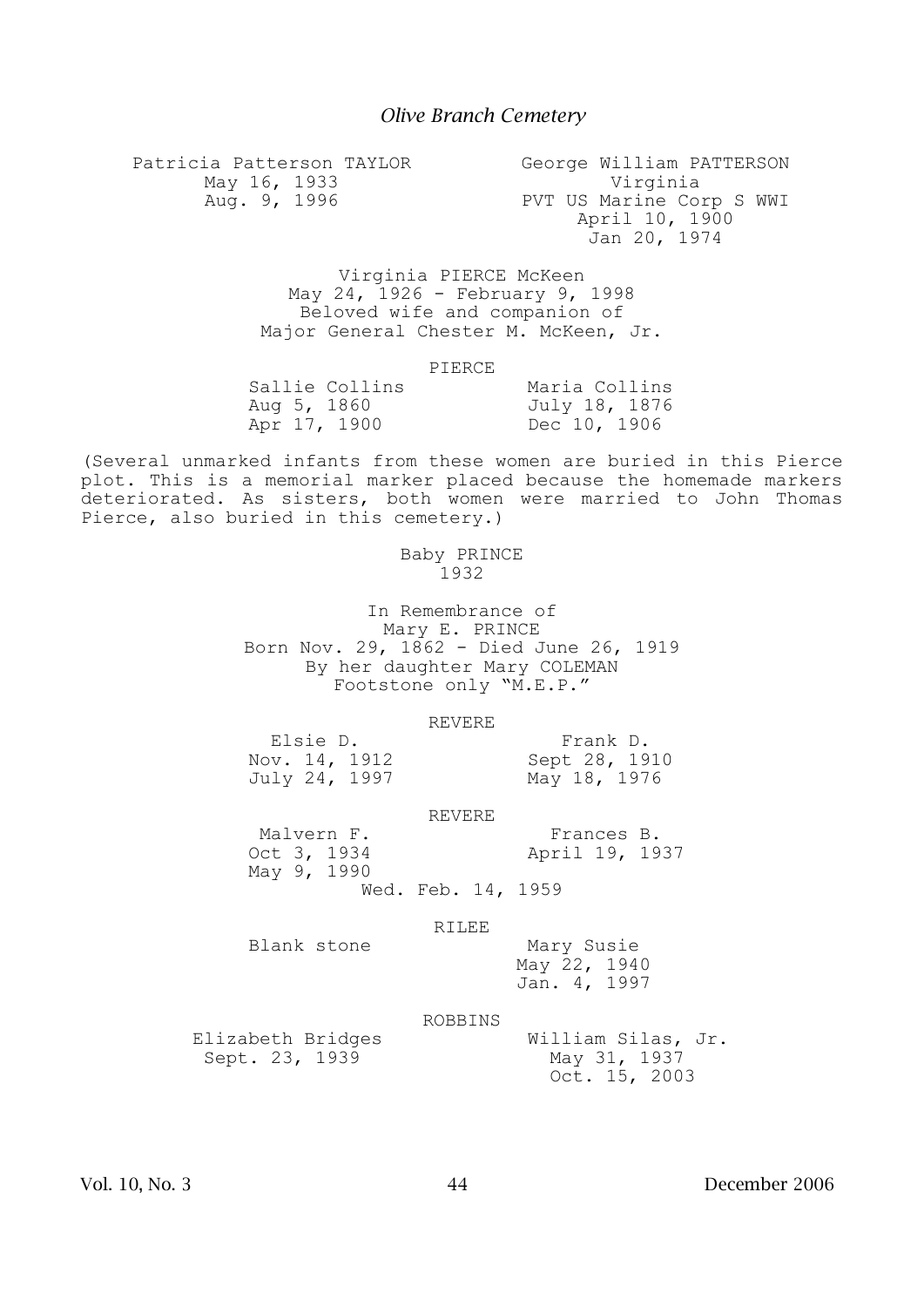Patricia Patterson TAYLOR May 16, 1933 Aug. 9, 1996 George William PATTERSON Virginia PVT US Marine Corp S WWI April 10, 1900 Jan 20, 1974

> Virginia PIERCE McKeen May 24, 1926 - February 9, 1998 Beloved wife and companion of Major General Chester M. McKeen, Jr.

#### PIERCE

| Sallie Collins | Maria Collins |
|----------------|---------------|
| Aug 5, 1860    | July 18, 1876 |
| Apr 17, 1900   | Dec 10, 1906  |

(Several unmarked infants from these women are buried in this Pierce plot. This is a memorial marker placed because the homemade markers deteriorated. As sisters, both women were married to John Thomas Pierce, also buried in this cemetery.)

## Baby PRINCE  $-1932$

In Remembrance of Mary E. PRINCE Born Nov. 29, 1862 - Died June 26, 1919 By her daughter Mary COLEMAN Footstone only "M.E.P."

#### REVERE

Nov. 14, 1912 Sept 28, 1910 July 24, 1997 May 18, 1976

Elsie D. Frank D.<br>
Sept 28, 1910<br>
Sept 28, 1910

REVERE

Malvern F.<br>Oct 3, 1934 Mapril 19, 19 April 19, 1937

Wed. Feb. 14, 1959

### RILEE

Blank stone Mary Susie

May 9, 1990

 May 22, 1940 Jan. 4, 1997

#### ROBBINS

Sept. 23, 1939 May 31, 1937

Elizabeth Bridges William Silas, Jr. Oct. 15, 2003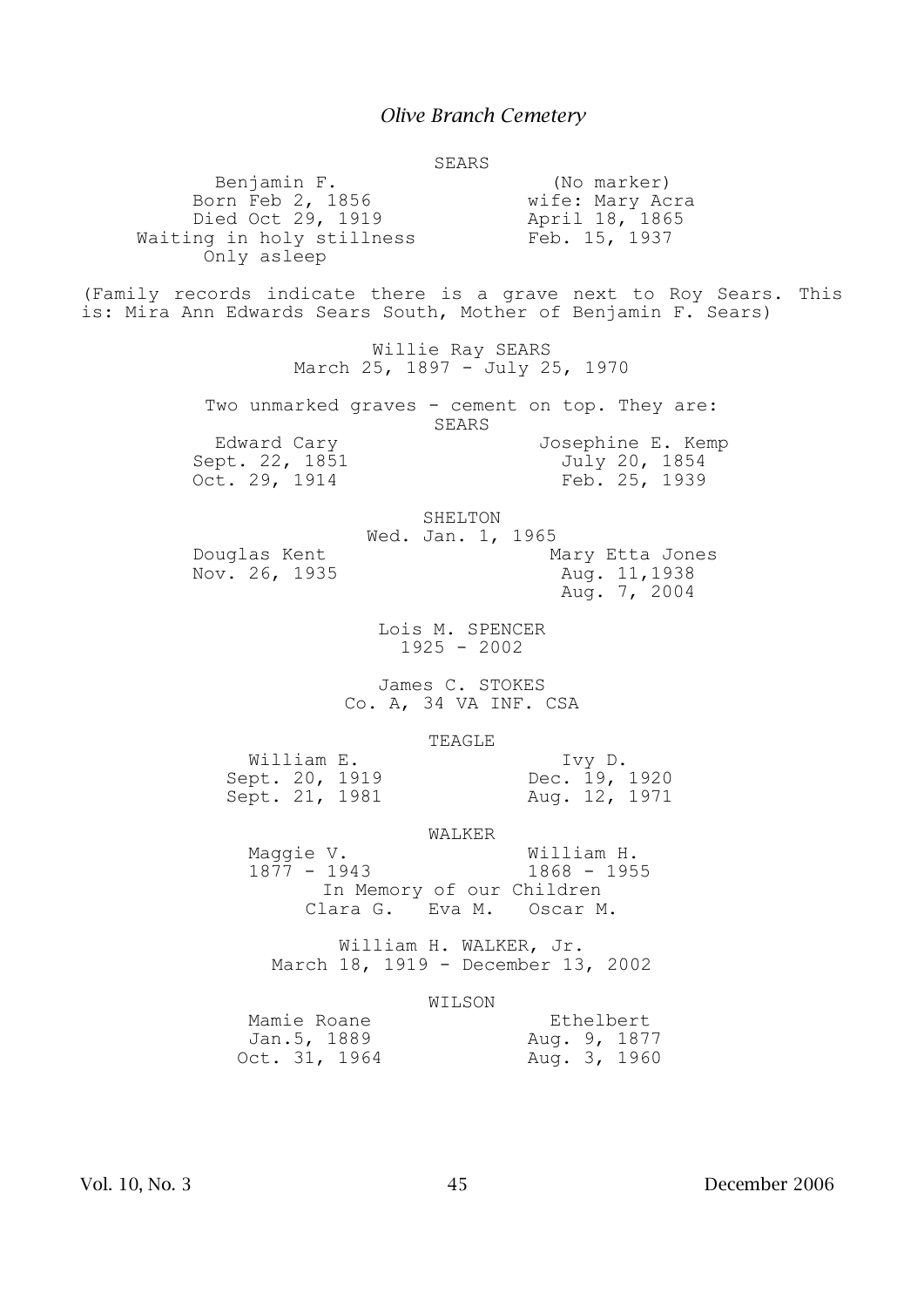SEARS

Benjamin F. (No marker)<br>Born Feb 2, 1856 (Wife: Mary Acra Born Feb 2, 1856 **wife:** Mary Acra Died Oct 29, 1919 Mapril 18, 1865 Died Oct 29, 1919<br>Waiting in holy stillness Feb. 15, 1937 Only asleep (Family records indicate there is a grave next to Roy Sears. This is: Mira Ann Edwards Sears South, Mother of Benjamin F. Sears) Willie Ray SEARS March 25, 1897 - July 25, 1970 Two unmarked graves - cement on top. They are: SEARS Edward Cary Josephine E. Kemp Sept. 22, 1851 July 20, 1854 Oct. 29, 1914 Feb. 25, 1939 SHELTON Wed. Jan. 1, 1965 Douglas Kent<br>Nov. 26, 1935 Mary Etta Jones Nov. 26, 1935 Aug. 7, 2004 Lois M. SPENCER 1925 - 2002 James C. STOKES Co. A, 34 VA INF. CSA TEAGLE William E.<br>ept. 20, 1919 Dec. 19, 1920 Sept. 20, 1919<br>
Sept. 21, 1981 Dec. 19, 1920<br>
Aug. 12, 1971 Sept. 21, 1981 WALKER Maggie V. William H. 1877 - 1943 1868 - 1955 In Memory of our Children Clara G. Eva M. Oscar M. William H. WALKER, Jr. March 18, 1919 - December 13, 2002 WILSON Mamie Roane **Ethelbert**  Jan.5, 1889 Aug. 9, 1877 Van.J, 1009<br>Oct. 31, 1964 Mug. 3, 1960